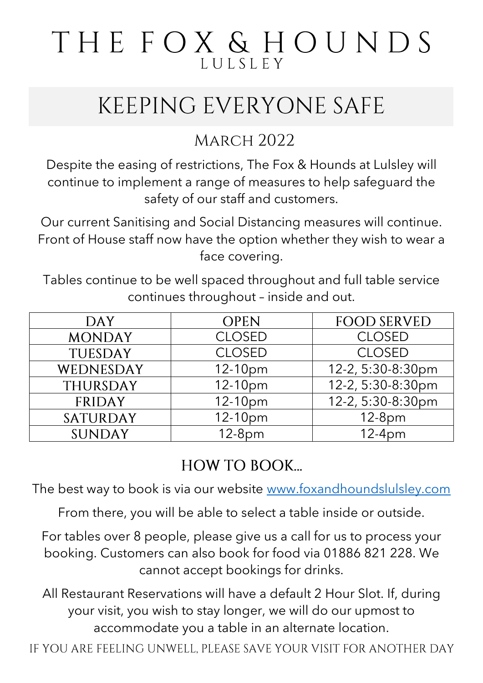# THE FOX & HOUNDS LULSLEY

# KEEPING EVERYONE SAFE

#### **MARCH 2022**

Despite the easing of restrictions, The Fox & Hounds at Lulsley will continue to implement a range of measures to help safeguard the safety of our staff and customers.

Our current Sanitising and Social Distancing measures will continue. Front of House staff now have the option whether they wish to wear a face covering.

Tables continue to be well spaced throughout and full table service continues throughout – inside and out.

| <b>DAY</b>      | <b>OPEN</b>   | <b>FOOD SERVED</b> |
|-----------------|---------------|--------------------|
| <b>MONDAY</b>   | <b>CLOSED</b> | <b>CLOSED</b>      |
| <b>TUESDAY</b>  | <b>CLOSED</b> | <b>CLOSED</b>      |
| WEDNESDAY       | $12-10pm$     | 12-2, 5:30-8:30pm  |
| THURSDAY        | $12-10pm$     | 12-2, 5:30-8:30pm  |
| <b>FRIDAY</b>   | 12-10pm       | 12-2, 5:30-8:30pm  |
| <b>SATURDAY</b> | 12-10pm       | $12-8pm$           |
| <b>SUNDAY</b>   | $12-8pm$      | $12-4pm$           |

#### **HOW TO BOOK...**

The best way to book is via our website [www.foxandhoundslulsley.com](http://www.foxandhoundslulsley.com/)

From there, you will be able to select a table inside or outside.

For tables over 8 people, please give us a call for us to process your booking. Customers can also book for food via 01886 821 228. We cannot accept bookings for drinks.

All Restaurant Reservations will have a default 2 Hour Slot. If, during your visit, you wish to stay longer, we will do our upmost to accommodate you a table in an alternate location.

IF YOU ARE FEELING UNWELL, PLEASE SAVE YOUR VISIT FOR ANOTHER DAY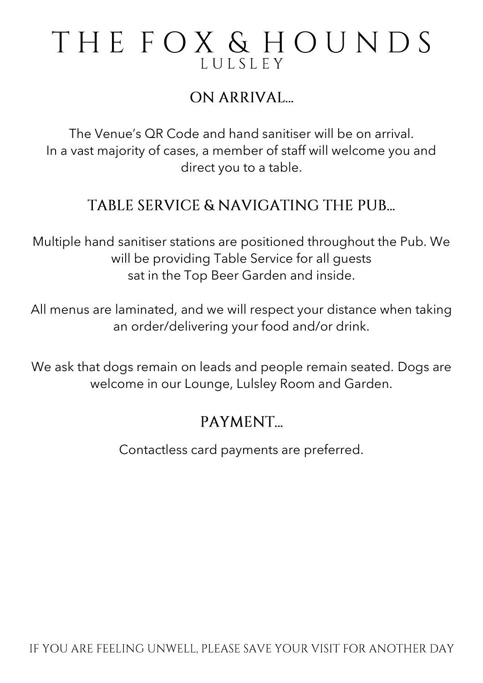### THE FOX & HOUNDS LULSLEY

#### ON ARRIVAL

The Venue's QR Code and hand sanitiser will be on arrival. In a vast majority of cases, a member of staff will welcome you and direct you to a table.

#### TABLE SERVICE & NAVIGATING THE PUB...

Multiple hand sanitiser stations are positioned throughout the Pub. We will be providing Table Service for all guests sat in the Top Beer Garden and inside.

All menus are laminated, and we will respect your distance when taking an order/delivering your food and/or drink.

We ask that dogs remain on leads and people remain seated. Dogs are welcome in our Lounge, Lulsley Room and Garden.

#### PAYMENT.

Contactless card payments are preferred.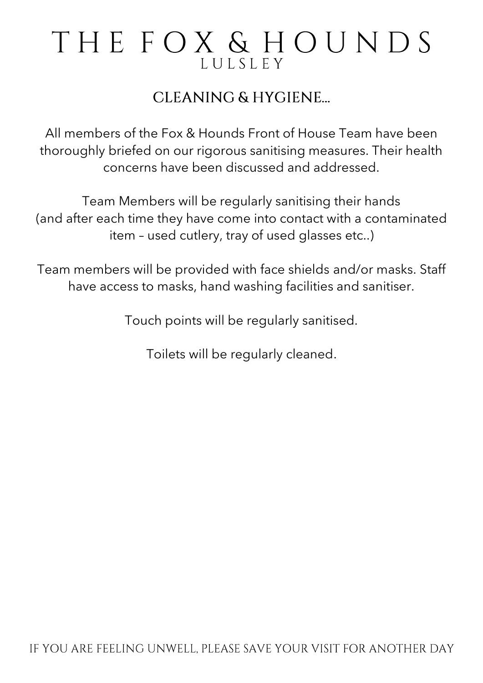## THE FOX & HOUNDS LULSLEY

#### **CLEANING & HYGIENE...**

All members of the Fox & Hounds Front of House Team have been thoroughly briefed on our rigorous sanitising measures. Their health concerns have been discussed and addressed.

Team Members will be regularly sanitising their hands (and after each time they have come into contact with a contaminated item – used cutlery, tray of used glasses etc..)

Team members will be provided with face shields and/or masks. Staff have access to masks, hand washing facilities and sanitiser.

Touch points will be regularly sanitised.

Toilets will be regularly cleaned.